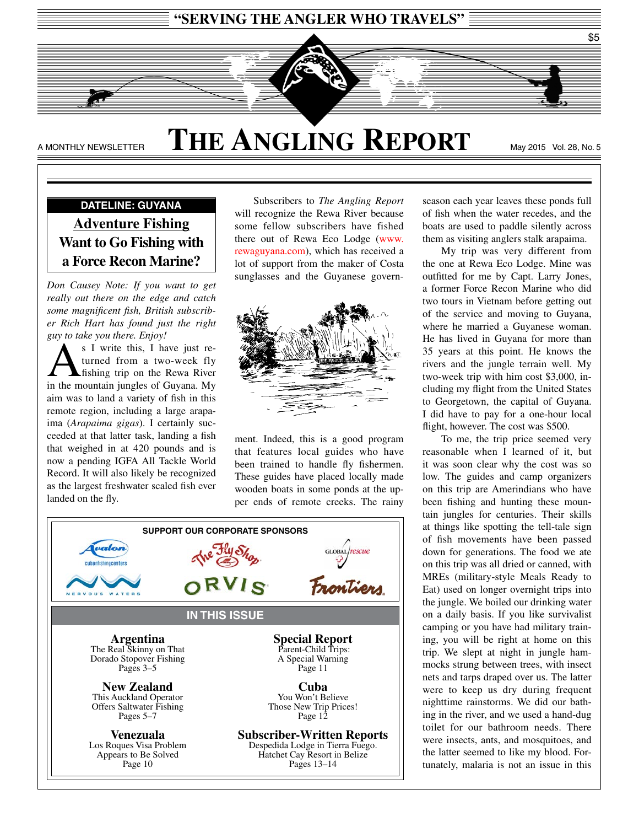

### A MONTHLY NEWSLETTER **THE ANGLING REPORT** May 2015 Vol. 28, No. 5

### **DATELINE: GUYANA Adventure Fishing Want to Go Fishing with a Force Recon Marine?**

*Don Causey Note: If you want to get really out there on the edge and catch some magnifcent fsh, British subscriber Rich Hart has found just the right guy to take you there. Enjoy!*

 $\sum_{i=1}^{S} \frac{1}{i}$  write this, I have just re-<br>turned from a two-week fly<br>in the mountain junctes of Guyane My turned from a two-week fly in the mountain jungles of Guyana. My aim was to land a variety of fsh in this remote region, including a large arapaima (*Arapaima gigas*). I certainly succeeded at that latter task, landing a fish that weighed in at 420 pounds and is now a pending IGFA All Tackle World Record. It will also likely be recognized as the largest freshwater scaled fsh ever landed on the fy.

Subscribers to *The Angling Report*  will recognize the Rewa River because some fellow subscribers have fished there out of Rewa Eco Lodge [\(www.](http://www.rewaguyana.com) [rewaguyana.com\)](http://www.rewaguyana.com), which has received a lot of support from the maker of Costa sunglasses and the Guyanese govern-



ment. Indeed, this is a good program that features local guides who have been trained to handle fly fishermen. These guides have placed locally made wooden boats in some ponds at the upper ends of remote creeks. The rainy



season each year leaves these ponds full of fsh when the water recedes, and the boats are used to paddle silently across them as visiting anglers stalk arapaima.

My trip was very different from the one at Rewa Eco Lodge. Mine was outftted for me by Capt. Larry Jones, a former Force Recon Marine who did two tours in Vietnam before getting out of the service and moving to Guyana, where he married a Guyanese woman. He has lived in Guyana for more than 35 years at this point. He knows the rivers and the jungle terrain well. My two-week trip with him cost \$3,000, including my fight from the United States to Georgetown, the capital of Guyana. I did have to pay for a one-hour local fight, however. The cost was \$500.

To me, the trip price seemed very reasonable when I learned of it, but it was soon clear why the cost was so low. The guides and camp organizers on this trip are Amerindians who have been fshing and hunting these mountain jungles for centuries. Their skills at things like spotting the tell-tale sign of fsh movements have been passed down for generations. The food we ate on this trip was all dried or canned, with MREs (military-style Meals Ready to Eat) used on longer overnight trips into the jungle. We boiled our drinking water on a daily basis. If you like survivalist camping or you have had military training, you will be right at home on this trip. We slept at night in jungle hammocks strung between trees, with insect nets and tarps draped over us. The latter were to keep us dry during frequent nighttime rainstorms. We did our bathing in the river, and we used a hand-dug toilet for our bathroom needs. There were insects, ants, and mosquitoes, and the latter seemed to like my blood. Fortunately, malaria is not an issue in this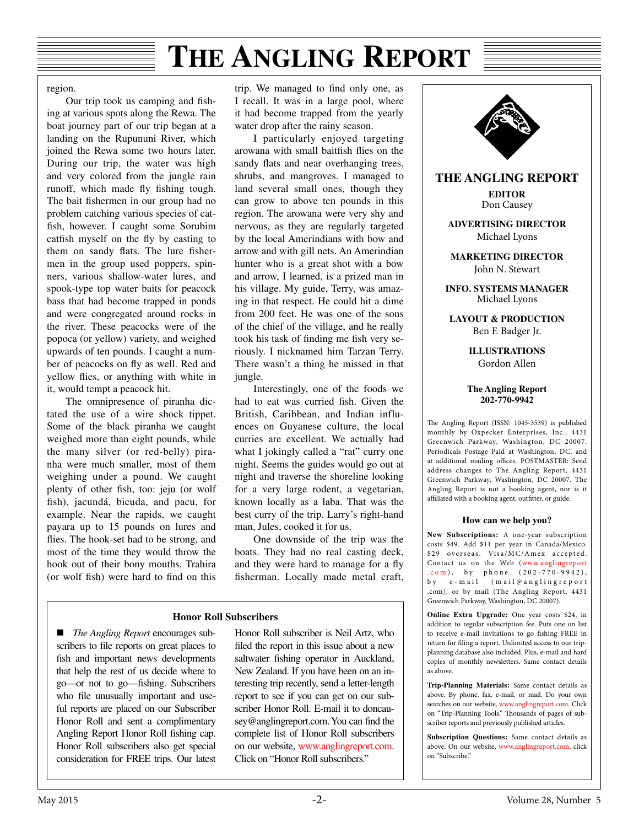region.

Our trip took us camping and fshing at various spots along the Rewa. The boat journey part of our trip began at a landing on the Rupununi River, which joined the Rewa some two hours later. During our trip, the water was high and very colored from the jungle rain runoff, which made fy fshing tough. The bait fshermen in our group had no problem catching various species of catfsh, however. I caught some Sorubim catfish myself on the fly by casting to them on sandy flats. The lure fishermen in the group used poppers, spinners, various shallow-water lures, and spook-type top water baits for peacock bass that had become trapped in ponds and were congregated around rocks in the river. These peacocks were of the popoca (or yellow) variety, and weighed upwards of ten pounds. I caught a number of peacocks on fy as well. Red and yellow fies, or anything with white in it, would tempt a peacock hit.

The omnipresence of piranha dictated the use of a wire shock tippet. Some of the black piranha we caught weighed more than eight pounds, while the many silver (or red-belly) piranha were much smaller, most of them weighing under a pound. We caught plenty of other fsh, too: jeju (or wolf fish), jacundá, bicuda, and pacu, for example. Near the rapids, we caught payara up to 15 pounds on lures and fies. The hook-set had to be strong, and most of the time they would throw the hook out of their bony mouths. Trahira (or wolf fsh) were hard to fnd on this trip. We managed to fnd only one, as I recall. It was in a large pool, where it had become trapped from the yearly water drop after the rainy season.

I particularly enjoyed targeting arowana with small baitfsh fies on the sandy fats and near overhanging trees, shrubs, and mangroves. I managed to land several small ones, though they can grow to above ten pounds in this region. The arowana were very shy and nervous, as they are regularly targeted by the local Amerindians with bow and arrow and with gill nets. An Amerindian hunter who is a great shot with a bow and arrow, I learned, is a prized man in his village. My guide, Terry, was amazing in that respect. He could hit a dime from 200 feet. He was one of the sons of the chief of the village, and he really took his task of finding me fish very seriously. I nicknamed him Tarzan Terry. There wasn't a thing he missed in that jungle.

Interestingly, one of the foods we had to eat was curried fsh. Given the British, Caribbean, and Indian influences on Guyanese culture, the local curries are excellent. We actually had what I jokingly called a "rat" curry one night. Seems the guides would go out at night and traverse the shoreline looking for a very large rodent, a vegetarian, known locally as a laba. That was the best curry of the trip. Larry's right-hand man, Jules, cooked it for us.

One downside of the trip was the boats. They had no real casting deck, and they were hard to manage for a fy fsherman. Locally made metal craft,

#### **Honor Roll Subscribers**

■ *The Angling Report* encourages subscribers to fle reports on great places to fish and important news developments that help the rest of us decide where to go—or not to go—fshing. Subscribers who file unusually important and useful reports are placed on our Subscriber Honor Roll and sent a complimentary Angling Report Honor Roll fshing cap. Honor Roll subscribers also get special consideration for FREE trips. Our latest Honor Roll subscriber is Neil Artz, who fled the report in this issue about a new saltwater fshing operator in Auckland, New Zealand. If you have been on an interesting trip recently, send a letter-length report to see if you can get on our subscriber Honor Roll. E-mail it to doncausey@anglingreport.com. You can fnd the complete list of Honor Roll subscribers on our website, [www.anglingreport.com.](http://www.anglingreport.com) Click on "Honor Roll subscribers."



#### **How can we help you?**

Angling Report is not a booking agent, nor is it affiliated with a booking agent, outfitter, or guide.

**New Subscriptions:** A one-year subscription costs \$49. Add \$11 per year in Canada/Mexico. \$29 overseas. Visa/MC/Amex accepted. Contact us on the Web (www.anglingreport  $.com$ ), by phone (202-770-9942), by e-mail ( mail@anglingreport .com), or by mail (The Angling Report, 4431 Greenwich Parkway, Washington, DC 20007).

**Online Extra Upgrade:** One year costs \$24, in addition to regular subscription fee. Puts one on list to receive e-mail invitations to go fshing FREE in return for fling a report. Unlimited access to our tripplanning database also included. Plus, e-mail and hard copies of monthly newsletters. Same contact details as above.

**Trip-Planning Materials:** Same contact details as above. By phone, fax, e-mail, or mail. Do your own searches on our website, www.anglingreport.com. Click on "Trip-Planning Tools." Thousands of pages of subscriber reports and previously published articles.

**Subscription Questions:** Same contact details as above. On our website, www.anglingreport.com, click on "Subscribe."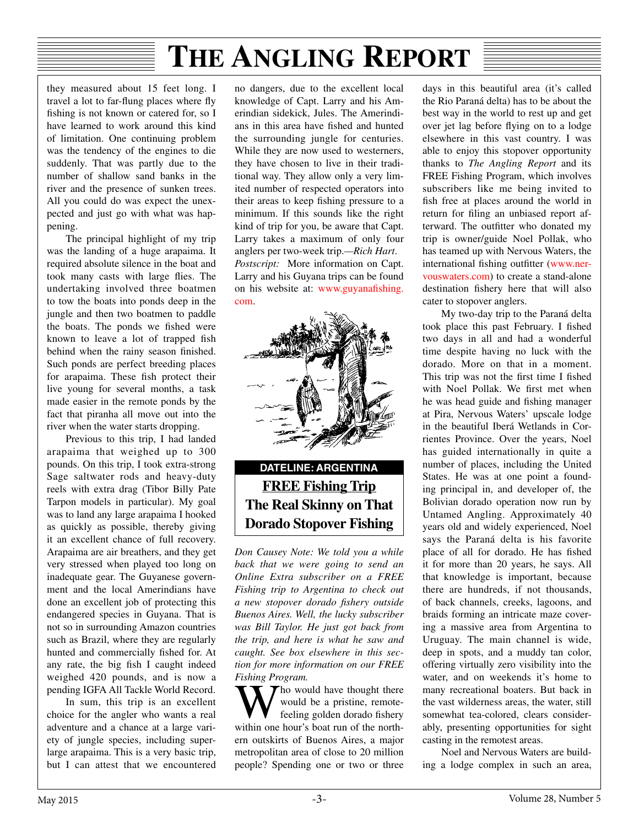they measured about 15 feet long. I travel a lot to far-fung places where fy fshing is not known or catered for, so I have learned to work around this kind of limitation. One continuing problem was the tendency of the engines to die suddenly. That was partly due to the number of shallow sand banks in the river and the presence of sunken trees. All you could do was expect the unexpected and just go with what was happening.

The principal highlight of my trip was the landing of a huge arapaima. It required absolute silence in the boat and took many casts with large fies. The undertaking involved three boatmen to tow the boats into ponds deep in the jungle and then two boatmen to paddle the boats. The ponds we fshed were known to leave a lot of trapped fsh behind when the rainy season fnished. Such ponds are perfect breeding places for arapaima. These fish protect their live young for several months, a task made easier in the remote ponds by the fact that piranha all move out into the river when the water starts dropping.

Previous to this trip, I had landed arapaima that weighed up to 300 pounds. On this trip, I took extra-strong Sage saltwater rods and heavy-duty reels with extra drag (Tibor Billy Pate Tarpon models in particular). My goal was to land any large arapaima I hooked as quickly as possible, thereby giving it an excellent chance of full recovery. Arapaima are air breathers, and they get very stressed when played too long on inadequate gear. The Guyanese government and the local Amerindians have done an excellent job of protecting this endangered species in Guyana. That is not so in surrounding Amazon countries such as Brazil, where they are regularly hunted and commercially fshed for. At any rate, the big fsh I caught indeed weighed 420 pounds, and is now a pending IGFA All Tackle World Record.

In sum, this trip is an excellent choice for the angler who wants a real adventure and a chance at a large variety of jungle species, including superlarge arapaima. This is a very basic trip, but I can attest that we encountered

no dangers, due to the excellent local knowledge of Capt. Larry and his Amerindian sidekick, Jules. The Amerindians in this area have fshed and hunted the surrounding jungle for centuries. While they are now used to westerners, they have chosen to live in their traditional way. They allow only a very limited number of respected operators into their areas to keep fshing pressure to a minimum. If this sounds like the right kind of trip for you, be aware that Capt. Larry takes a maximum of only four anglers per two-week trip.*—Rich Hart*. *Postscript:* More information on Capt. Larry and his Guyana trips can be found on his website at: [www.guyana](http://www.guyanafishing.com)fshing. [com](http://www.guyanafishing.com).



### **DATELINE: ARGENTINA FREE Fishing Trip The Real Skinny on That Dorado Stopover Fishing**

*Don Causey Note: We told you a while back that we were going to send an Online Extra subscriber on a FREE Fishing trip to Argentina to check out a new stopover dorado fshery outside Buenos Aires. Well, the lucky subscriber was Bill Taylor. He just got back from the trip, and here is what he saw and caught. See box elsewhere in this section for more information on our FREE Fishing Program.*

 $\mathcal T$  ho would have thought there would be a pristine, remotefeeling golden dorado fshery within one hour's boat run of the northern outskirts of Buenos Aires, a major metropolitan area of close to 20 million people? Spending one or two or three

days in this beautiful area (it's called the Rio Paraná delta) has to be about the best way in the world to rest up and get over jet lag before fying on to a lodge elsewhere in this vast country. I was able to enjoy this stopover opportunity thanks to *The Angling Report* and its FREE Fishing Program, which involves subscribers like me being invited to fish free at places around the world in return for fling an unbiased report afterward. The outfitter who donated my trip is owner/guide Noel Pollak, who has teamed up with Nervous Waters, the international fishing outfitter ([www.ner](http://www.nervouswaters.com)[vouswaters.com](http://www.nervouswaters.com)) to create a stand-alone destination fshery here that will also cater to stopover anglers.

My two-day trip to the Paraná delta took place this past February. I fished two days in all and had a wonderful time despite having no luck with the dorado. More on that in a moment. This trip was not the first time I fished with Noel Pollak. We frst met when he was head guide and fshing manager at Pira, Nervous Waters' upscale lodge in the beautiful Iberá Wetlands in Corrientes Province. Over the years, Noel has guided internationally in quite a number of places, including the United States. He was at one point a founding principal in, and developer of, the Bolivian dorado operation now run by Untamed Angling. Approximately 40 years old and widely experienced, Noel says the Paraná delta is his favorite place of all for dorado. He has fshed it for more than 20 years, he says. All that knowledge is important, because there are hundreds, if not thousands, of back channels, creeks, lagoons, and braids forming an intricate maze covering a massive area from Argentina to Uruguay. The main channel is wide, deep in spots, and a muddy tan color, offering virtually zero visibility into the water, and on weekends it's home to many recreational boaters. But back in the vast wilderness areas, the water, still somewhat tea-colored, clears considerably, presenting opportunities for sight casting in the remotest areas.

Noel and Nervous Waters are building a lodge complex in such an area,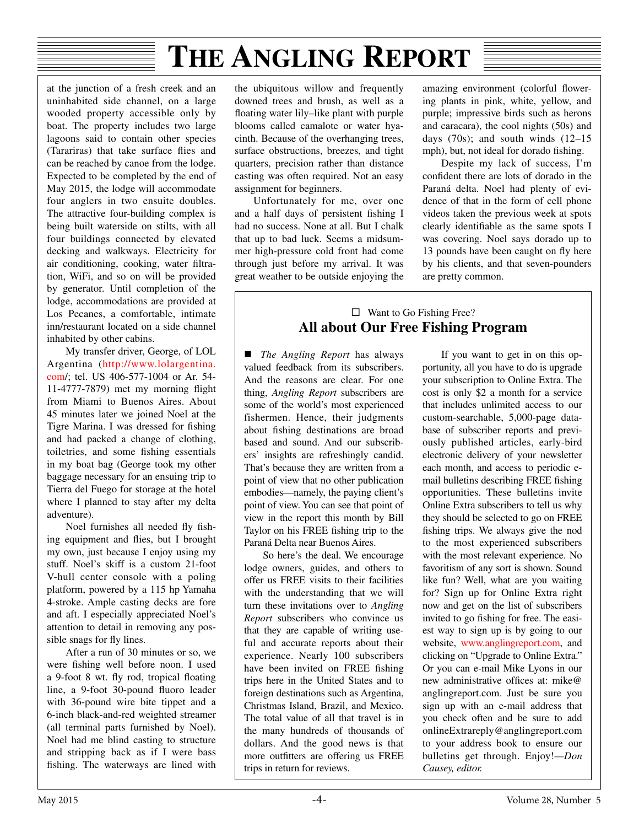at the junction of a fresh creek and an uninhabited side channel, on a large wooded property accessible only by boat. The property includes two large lagoons said to contain other species (Tarariras) that take surface fies and can be reached by canoe from the lodge. Expected to be completed by the end of May 2015, the lodge will accommodate four anglers in two ensuite doubles. The attractive four-building complex is being built waterside on stilts, with all four buildings connected by elevated decking and walkways. Electricity for air conditioning, cooking, water fltration, WiFi, and so on will be provided by generator. Until completion of the lodge, accommodations are provided at Los Pecanes, a comfortable, intimate inn/restaurant located on a side channel inhabited by other cabins.

My transfer driver, George, of LOL Argentina ([http://www.lolargentina.](http://www.lolargentina.com) [com](http://www.lolargentina.com)/; tel. US 406-577-1004 or Ar. 54- 11-4777-7879) met my morning fight from Miami to Buenos Aires. About 45 minutes later we joined Noel at the Tigre Marina. I was dressed for fshing and had packed a change of clothing, toiletries, and some fshing essentials in my boat bag (George took my other baggage necessary for an ensuing trip to Tierra del Fuego for storage at the hotel where I planned to stay after my delta adventure).

Noel furnishes all needed fy fshing equipment and fies, but I brought my own, just because I enjoy using my stuff. Noel's skiff is a custom 21-foot V-hull center console with a poling platform, powered by a 115 hp Yamaha 4-stroke. Ample casting decks are fore and aft. I especially appreciated Noel's attention to detail in removing any possible snags for fy lines.

After a run of 30 minutes or so, we were fshing well before noon. I used a 9-foot 8 wt. fy rod, tropical foating line, a 9-foot 30-pound fuoro leader with 36-pound wire bite tippet and a 6-inch black-and-red weighted streamer (all terminal parts furnished by Noel). Noel had me blind casting to structure and stripping back as if I were bass fshing. The waterways are lined with

the ubiquitous willow and frequently downed trees and brush, as well as a foating water lily–like plant with purple blooms called camalote or water hyacinth. Because of the overhanging trees, surface obstructions, breezes, and tight quarters, precision rather than distance casting was often required. Not an easy assignment for beginners.

Unfortunately for me, over one and a half days of persistent fshing I had no success. None at all. But I chalk that up to bad luck. Seems a midsummer high-pressure cold front had come through just before my arrival. It was great weather to be outside enjoying the

amazing environment (colorful flowering plants in pink, white, yellow, and purple; impressive birds such as herons and caracara), the cool nights (50s) and days  $(70s)$ ; and south winds  $(12-15)$ mph), but, not ideal for dorado fshing.

Despite my lack of success, I'm confdent there are lots of dorado in the Paraná delta. Noel had plenty of evidence of that in the form of cell phone videos taken the previous week at spots clearly identifable as the same spots I was covering. Noel says dorado up to 13 pounds have been caught on fy here by his clients, and that seven-pounders are pretty common.

#### $\Box$  Want to Go Fishing Free? **All about Our Free Fishing Program**

 *The Angling Report* has always valued feedback from its subscribers. And the reasons are clear. For one thing, *Angling Report* subscribers are some of the world's most experienced fishermen. Hence, their judgments about fshing destinations are broad based and sound. And our subscribers' insights are refreshingly candid. That's because they are written from a point of view that no other publication embodies—namely, the paying client's point of view. You can see that point of view in the report this month by Bill Taylor on his FREE fshing trip to the Paraná Delta near Buenos Aires.

So here's the deal. We encourage lodge owners, guides, and others to offer us FREE visits to their facilities with the understanding that we will turn these invitations over to *Angling Report* subscribers who convince us that they are capable of writing useful and accurate reports about their experience. Nearly 100 subscribers have been invited on FREE fshing trips here in the United States and to foreign destinations such as Argentina, Christmas Island, Brazil, and Mexico. The total value of all that travel is in the many hundreds of thousands of dollars. And the good news is that more outfitters are offering us FREE trips in return for reviews.

If you want to get in on this opportunity, all you have to do is upgrade your subscription to Online Extra. The cost is only \$2 a month for a service that includes unlimited access to our custom-searchable, 5,000-page database of subscriber reports and previously published articles, early-bird electronic delivery of your newsletter each month, and access to periodic email bulletins describing FREE fshing opportunities. These bulletins invite Online Extra subscribers to tell us why they should be selected to go on FREE fshing trips. We always give the nod to the most experienced subscribers with the most relevant experience. No favoritism of any sort is shown. Sound like fun? Well, what are you waiting for? Sign up for Online Extra right now and get on the list of subscribers invited to go fshing for free. The easiest way to sign up is by going to our website, [www.anglingreport.com,](http://www.anglingreport.com) and clicking on "Upgrade to Online Extra." Or you can e-mail Mike Lyons in our new administrative offices at: mike@ anglingreport.com. Just be sure you sign up with an e-mail address that you check often and be sure to add onlineExtrareply@anglingreport.com to your address book to ensure our bulletins get through. Enjoy!*—Don Causey, editor.*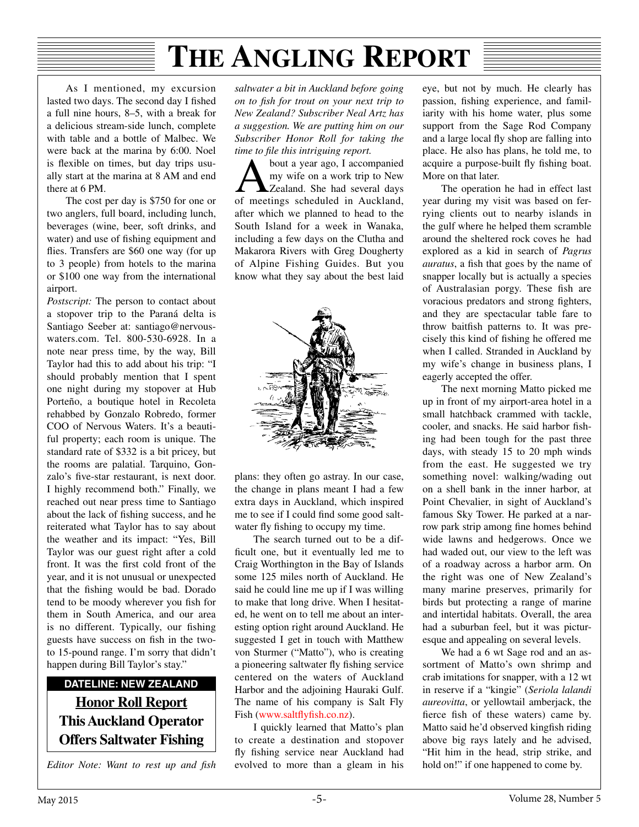As I mentioned, my excursion lasted two days. The second day I fished a full nine hours, 8–5, with a break for a delicious stream-side lunch, complete with table and a bottle of Malbec. We were back at the marina by 6:00. Noel is fexible on times, but day trips usually start at the marina at 8 AM and end there at 6 PM.

The cost per day is \$750 for one or two anglers, full board, including lunch, beverages (wine, beer, soft drinks, and water) and use of fshing equipment and fies. Transfers are \$60 one way (for up to 3 people) from hotels to the marina or \$100 one way from the international airport.

*Postscript:* The person to contact about a stopover trip to the Paraná delta is Santiago Seeber at: santiago@nervouswaters.com. Tel. 800-530-6928. In a note near press time, by the way, Bill Taylor had this to add about his trip: "I should probably mention that I spent one night during my stopover at Hub Porteño, a boutique hotel in Recoleta rehabbed by Gonzalo Robredo, former COO of Nervous Waters. It's a beautiful property; each room is unique. The standard rate of \$332 is a bit pricey, but the rooms are palatial. Tarquino, Gonzalo's fve-star restaurant, is next door. I highly recommend both." Finally, we reached out near press time to Santiago about the lack of fshing success, and he reiterated what Taylor has to say about the weather and its impact: "Yes, Bill Taylor was our guest right after a cold front. It was the frst cold front of the year, and it is not unusual or unexpected that the fshing would be bad. Dorado tend to be moody wherever you fsh for them in South America, and our area is no different. Typically, our fshing guests have success on fsh in the twoto 15-pound range. I'm sorry that didn't happen during Bill Taylor's stay."

### **DATELINE: NEW ZEALAND Honor Roll Report This Auckland Operator Offers Saltwater Fishing**

*Editor Note: Want to rest up and fsh* 

*saltwater a bit in Auckland before going on to fsh for trout on your next trip to New Zealand? Subscriber Neal Artz has a suggestion. We are putting him on our Subscriber Honor Roll for taking the time to fle this intriguing report.* 

About a year ago, I accompanied<br>
my wife on a work trip to New<br>
Zealand. She had several days my wife on a work trip to New of meetings scheduled in Auckland, after which we planned to head to the South Island for a week in Wanaka, including a few days on the Clutha and Makarora Rivers with Greg Dougherty of Alpine Fishing Guides. But you know what they say about the best laid



plans: they often go astray. In our case, the change in plans meant I had a few extra days in Auckland, which inspired me to see if I could fnd some good saltwater fly fishing to occupy my time.

The search turned out to be a difficult one, but it eventually led me to Craig Worthington in the Bay of Islands some 125 miles north of Auckland. He said he could line me up if I was willing to make that long drive. When I hesitated, he went on to tell me about an interesting option right around Auckland. He suggested I get in touch with Matthew von Sturmer ("Matto"), who is creating a pioneering saltwater fy fshing service centered on the waters of Auckland Harbor and the adjoining Hauraki Gulf. The name of his company is Salt Fly Fish [\(www.salt](http://www.saltflyfish.co.nz)fyfsh.co.nz).

I quickly learned that Matto's plan to create a destination and stopover fy fshing service near Auckland had evolved to more than a gleam in his

eye, but not by much. He clearly has passion, fshing experience, and familiarity with his home water, plus some support from the Sage Rod Company and a large local fy shop are falling into place. He also has plans, he told me, to acquire a purpose-built fy fshing boat. More on that later.

The operation he had in effect last year during my visit was based on ferrying clients out to nearby islands in the gulf where he helped them scramble around the sheltered rock coves he had explored as a kid in search of *Pagrus auratus*, a fish that goes by the name of snapper locally but is actually a species of Australasian porgy. These fsh are voracious predators and strong fghters, and they are spectacular table fare to throw baitfsh patterns to. It was precisely this kind of fshing he offered me when I called. Stranded in Auckland by my wife's change in business plans, I eagerly accepted the offer.

The next morning Matto picked me up in front of my airport-area hotel in a small hatchback crammed with tackle, cooler, and snacks. He said harbor fshing had been tough for the past three days, with steady 15 to 20 mph winds from the east. He suggested we try something novel: walking/wading out on a shell bank in the inner harbor, at Point Chevalier, in sight of Auckland's famous Sky Tower. He parked at a narrow park strip among fne homes behind wide lawns and hedgerows. Once we had waded out, our view to the left was of a roadway across a harbor arm. On the right was one of New Zealand's many marine preserves, primarily for birds but protecting a range of marine and intertidal habitats. Overall, the area had a suburban feel, but it was picturesque and appealing on several levels.

We had a 6 wt Sage rod and an assortment of Matto's own shrimp and crab imitations for snapper, with a 12 wt in reserve if a "kingie" (*Seriola lalandi aureovitta*, or yellowtail amberjack, the ferce fsh of these waters) came by. Matto said he'd observed kingfish riding above big rays lately and he advised, "Hit him in the head, strip strike, and hold on!" if one happened to come by.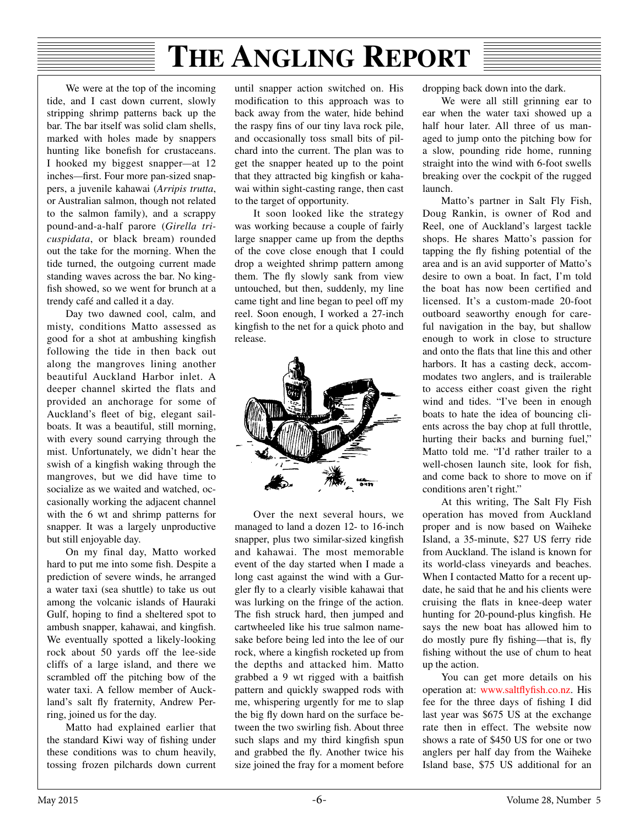We were at the top of the incoming tide, and I cast down current, slowly stripping shrimp patterns back up the bar. The bar itself was solid clam shells, marked with holes made by snappers hunting like bonefish for crustaceans. I hooked my biggest snapper*—*at 12 inches*—*frst. Four more pan-sized snappers, a juvenile kahawai (*Arripis trutta*, or Australian salmon, though not related to the salmon family), and a scrappy pound-and-a-half parore (*Girella tricuspidata*, or black bream) rounded out the take for the morning. When the tide turned, the outgoing current made standing waves across the bar. No kingfish showed, so we went for brunch at a trendy café and called it a day.

Day two dawned cool, calm, and misty, conditions Matto assessed as good for a shot at ambushing kingfsh following the tide in then back out along the mangroves lining another beautiful Auckland Harbor inlet. A deeper channel skirted the flats and provided an anchorage for some of Auckland's fleet of big, elegant sailboats. It was a beautiful, still morning, with every sound carrying through the mist. Unfortunately, we didn't hear the swish of a kingfish waking through the mangroves, but we did have time to socialize as we waited and watched, occasionally working the adjacent channel with the 6 wt and shrimp patterns for snapper. It was a largely unproductive but still enjoyable day.

On my final day, Matto worked hard to put me into some fish. Despite a prediction of severe winds, he arranged a water taxi (sea shuttle) to take us out among the volcanic islands of Hauraki Gulf, hoping to fnd a sheltered spot to ambush snapper, kahawai, and kingfsh. We eventually spotted a likely-looking rock about 50 yards off the lee-side cliffs of a large island, and there we scrambled off the pitching bow of the water taxi. A fellow member of Auckland's salt fy fraternity, Andrew Perring, joined us for the day.

Matto had explained earlier that the standard Kiwi way of fshing under these conditions was to chum heavily, tossing frozen pilchards down current

until snapper action switched on. His modifcation to this approach was to back away from the water, hide behind the raspy fns of our tiny lava rock pile, and occasionally toss small bits of pilchard into the current. The plan was to get the snapper heated up to the point that they attracted big kingfsh or kahawai within sight-casting range, then cast to the target of opportunity.

It soon looked like the strategy was working because a couple of fairly large snapper came up from the depths of the cove close enough that I could drop a weighted shrimp pattern among them. The fy slowly sank from view untouched, but then, suddenly, my line came tight and line began to peel off my reel. Soon enough, I worked a 27-inch kingfish to the net for a quick photo and release.



Over the next several hours, we managed to land a dozen 12- to 16-inch snapper, plus two similar-sized kingfsh and kahawai. The most memorable event of the day started when I made a long cast against the wind with a Gurgler fy to a clearly visible kahawai that was lurking on the fringe of the action. The fish struck hard, then jumped and cartwheeled like his true salmon namesake before being led into the lee of our rock, where a kingfsh rocketed up from the depths and attacked him. Matto grabbed a 9 wt rigged with a baitfsh pattern and quickly swapped rods with me, whispering urgently for me to slap the big fy down hard on the surface between the two swirling fsh. About three such slaps and my third kingfish spun and grabbed the fy. Another twice his size joined the fray for a moment before dropping back down into the dark.

We were all still grinning ear to ear when the water taxi showed up a half hour later. All three of us managed to jump onto the pitching bow for a slow, pounding ride home, running straight into the wind with 6-foot swells breaking over the cockpit of the rugged launch.

Matto's partner in Salt Fly Fish, Doug Rankin, is owner of Rod and Reel, one of Auckland's largest tackle shops. He shares Matto's passion for tapping the fy fshing potential of the area and is an avid supporter of Matto's desire to own a boat. In fact, I'm told the boat has now been certifed and licensed. It's a custom-made 20-foot outboard seaworthy enough for careful navigation in the bay, but shallow enough to work in close to structure and onto the fats that line this and other harbors. It has a casting deck, accommodates two anglers, and is trailerable to access either coast given the right wind and tides. "I've been in enough boats to hate the idea of bouncing clients across the bay chop at full throttle, hurting their backs and burning fuel," Matto told me. "I'd rather trailer to a well-chosen launch site, look for fish, and come back to shore to move on if conditions aren't right."

At this writing, The Salt Fly Fish operation has moved from Auckland proper and is now based on Waiheke Island, a 35-minute, \$27 US ferry ride from Auckland. The island is known for its world-class vineyards and beaches. When I contacted Matto for a recent update, he said that he and his clients were cruising the fats in knee-deep water hunting for 20-pound-plus kingfish. He says the new boat has allowed him to do mostly pure fy fshing—that is, fy fshing without the use of chum to heat up the action.

You can get more details on his operation at: [www.salt](http://www.saltflyfish.co.nz)fyfsh.co.nz. His fee for the three days of fshing I did last year was \$675 US at the exchange rate then in effect. The website now shows a rate of \$450 US for one or two anglers per half day from the Waiheke Island base, \$75 US additional for an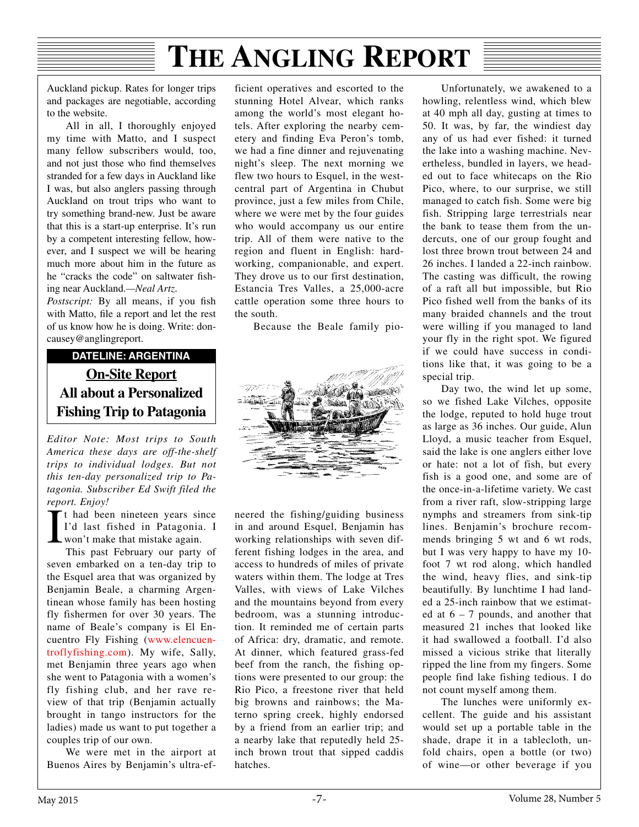Auckland pickup. Rates for longer trips and packages are negotiable, according to the website.

All in all, I thoroughly enjoyed my time with Matto, and I suspect many fellow subscribers would, too, and not just those who fnd themselves stranded for a few days in Auckland like I was, but also anglers passing through Auckland on trout trips who want to try something brand-new. Just be aware that this is a start-up enterprise. It's run by a competent interesting fellow, however, and I suspect we will be hearing much more about him in the future as he "cracks the code" on saltwater fshing near Auckland.*—Neal Artz*.

Postscript: By all means, if you fish with Matto, fle a report and let the rest of us know how he is doing. Write: doncausey@anglingreport.

### **DATELINE: ARGENTINA On-Site Report All about a Personalized Fishing Trip to Patagonia**

*Editor Note: Most trips to South America these days are off-the-shelf trips to individual lodges. But not this ten-day personalized trip to Patagonia. Subscriber Ed Swift filed the report. Enjoy!*

 $\prod$ It had been nineteen years since I'd last fished in Patagonia. I won't make that mistake again.

This past February our party of seven embarked on a ten-day trip to the Esquel area that was organized by Benjamin Beale, a charming Argentinean whose family has been hosting fly fishermen for over 30 years. The name of Beale's company is El Encuentro Fly Fishing ([www.elencuen](http://www.elencuentroflyfishing.com)[troflyfishing.com\)](http://www.elencuentroflyfishing.com). My wife, Sally, met Benjamin three years ago when she went to Patagonia with a women's fly fishing club, and her rave review of that trip (Benjamin actually brought in tango instructors for the ladies) made us want to put together a couples trip of our own.

We were met in the airport at Buenos Aires by Benjamin's ultra-efficient operatives and escorted to the stunning Hotel Alvear, which ranks among the world's most elegant hotels. After exploring the nearby cemetery and finding Eva Peron's tomb, we had a fine dinner and rejuvenating night's sleep. The next morning we flew two hours to Esquel, in the westcentral part of Argentina in Chubut province, just a few miles from Chile, where we were met by the four guides who would accompany us our entire trip. All of them were native to the region and fluent in English: hardworking, companionable, and expert. They drove us to our first destination, Estancia Tres Valles, a 25,000-acre cattle operation some three hours to the south.

Because the Beale family pio-



neered the fishing/guiding business in and around Esquel, Benjamin has working relationships with seven different fishing lodges in the area, and access to hundreds of miles of private waters within them. The lodge at Tres Valles, with views of Lake Vilches and the mountains beyond from every bedroom, was a stunning introduction. It reminded me of certain parts of Africa: dry, dramatic, and remote. At dinner, which featured grass-fed beef from the ranch, the fishing options were presented to our group: the Rio Pico, a freestone river that held big browns and rainbows; the Materno spring creek, highly endorsed by a friend from an earlier trip; and a nearby lake that reputedly held 25 inch brown trout that sipped caddis hatches.

Unfortunately, we awakened to a howling, relentless wind, which blew at 40 mph all day, gusting at times to 50. It was, by far, the windiest day any of us had ever fished: it turned the lake into a washing machine. Nevertheless, bundled in layers, we headed out to face whitecaps on the Rio Pico, where, to our surprise, we still managed to catch fish. Some were big fish. Stripping large terrestrials near the bank to tease them from the undercuts, one of our group fought and lost three brown trout between 24 and 26 inches. I landed a 22-inch rainbow. The casting was difficult, the rowing of a raft all but impossible, but Rio Pico fished well from the banks of its many braided channels and the trout were willing if you managed to land your fly in the right spot. We figured if we could have success in conditions like that, it was going to be a special trip.

Day two, the wind let up some, so we fished Lake Vilches, opposite the lodge, reputed to hold huge trout as large as 36 inches. Our guide, Alun Lloyd, a music teacher from Esquel, said the lake is one anglers either love or hate: not a lot of fish, but every fish is a good one, and some are of the once-in-a-lifetime variety. We cast from a river raft, slow-stripping large nymphs and streamers from sink-tip lines. Benjamin's brochure recommends bringing 5 wt and 6 wt rods, but I was very happy to have my 10 foot 7 wt rod along, which handled the wind, heavy flies, and sink-tip beautifully. By lunchtime I had landed a 25-inch rainbow that we estimated at 6 *–* 7 pounds, and another that measured 21 inches that looked like it had swallowed a football. I'd also missed a vicious strike that literally ripped the line from my fingers. Some people find lake fishing tedious. I do not count myself among them.

The lunches were uniformly excellent. The guide and his assistant would set up a portable table in the shade, drape it in a tablecloth, unfold chairs, open a bottle (or two) of wine—or other beverage if you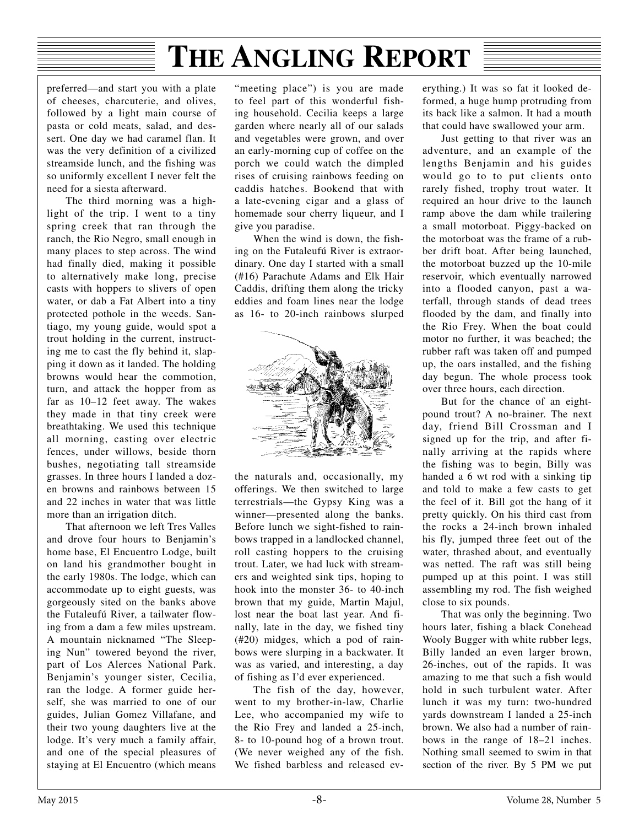preferred—and start you with a plate of cheeses, charcuterie, and olives, followed by a light main course of pasta or cold meats, salad, and dessert. One day we had caramel flan. It was the very definition of a civilized streamside lunch, and the fishing was so uniformly excellent I never felt the need for a siesta afterward.

The third morning was a highlight of the trip. I went to a tiny spring creek that ran through the ranch, the Rio Negro, small enough in many places to step across. The wind had finally died, making it possible to alternatively make long, precise casts with hoppers to slivers of open water, or dab a Fat Albert into a tiny protected pothole in the weeds. Santiago, my young guide, would spot a trout holding in the current, instructing me to cast the fly behind it, slapping it down as it landed. The holding browns would hear the commotion, turn, and attack the hopper from as far as 10–12 feet away. The wakes they made in that tiny creek were breathtaking. We used this technique all morning, casting over electric fences, under willows, beside thorn bushes, negotiating tall streamside grasses. In three hours I landed a dozen browns and rainbows between 15 and 22 inches in water that was little more than an irrigation ditch.

That afternoon we left Tres Valles and drove four hours to Benjamin's home base, El Encuentro Lodge, built on land his grandmother bought in the early 1980s. The lodge, which can accommodate up to eight guests, was gorgeously sited on the banks above the Futaleufú River, a tailwater flowing from a dam a few miles upstream. A mountain nicknamed "The Sleeping Nun" towered beyond the river, part of Los Alerces National Park. Benjamin's younger sister, Cecilia, ran the lodge. A former guide herself, she was married to one of our guides, Julian Gomez Villafane, and their two young daughters live at the lodge. It's very much a family affair, and one of the special pleasures of staying at El Encuentro (which means

"meeting place") is you are made to feel part of this wonderful fishing household. Cecilia keeps a large garden where nearly all of our salads and vegetables were grown, and over an early-morning cup of coffee on the porch we could watch the dimpled rises of cruising rainbows feeding on caddis hatches. Bookend that with a late-evening cigar and a glass of homemade sour cherry liqueur, and I give you paradise.

When the wind is down, the fishing on the Futaleufú River is extraordinary. One day I started with a small (#16) Parachute Adams and Elk Hair Caddis, drifting them along the tricky eddies and foam lines near the lodge as 16- to 20-inch rainbows slurped



the naturals and, occasionally, my offerings. We then switched to large terrestrials—the Gypsy King was a winner—presented along the banks. Before lunch we sight-fished to rainbows trapped in a landlocked channel, roll casting hoppers to the cruising trout. Later, we had luck with streamers and weighted sink tips, hoping to hook into the monster 36- to 40-inch brown that my guide, Martin Majul, lost near the boat last year. And finally, late in the day, we fished tiny (#20) midges, which a pod of rainbows were slurping in a backwater. It was as varied, and interesting, a day of fishing as I'd ever experienced.

The fish of the day, however, went to my brother-in-law, Charlie Lee, who accompanied my wife to the Rio Frey and landed a 25-inch, 8- to 10-pound hog of a brown trout. (We never weighed any of the fish. We fished barbless and released everything.) It was so fat it looked deformed, a huge hump protruding from its back like a salmon. It had a mouth that could have swallowed your arm.

Just getting to that river was an adventure, and an example of the lengths Benjamin and his guides would go to to put clients onto rarely fished, trophy trout water. It required an hour drive to the launch ramp above the dam while trailering a small motorboat. Piggy-backed on the motorboat was the frame of a rubber drift boat. After being launched, the motorboat buzzed up the 10-mile reservoir, which eventually narrowed into a flooded canyon, past a waterfall, through stands of dead trees flooded by the dam, and finally into the Rio Frey. When the boat could motor no further, it was beached; the rubber raft was taken off and pumped up, the oars installed, and the fishing day begun. The whole process took over three hours, each direction.

But for the chance of an eightpound trout? A no-brainer. The next day, friend Bill Crossman and I signed up for the trip, and after finally arriving at the rapids where the fishing was to begin, Billy was handed a 6 wt rod with a sinking tip and told to make a few casts to get the feel of it. Bill got the hang of it pretty quickly. On his third cast from the rocks a 24-inch brown inhaled his fly, jumped three feet out of the water, thrashed about, and eventually was netted. The raft was still being pumped up at this point. I was still assembling my rod. The fish weighed close to six pounds.

That was only the beginning. Two hours later, fishing a black Conehead Wooly Bugger with white rubber legs, Billy landed an even larger brown, 26-inches, out of the rapids. It was amazing to me that such a fish would hold in such turbulent water. After lunch it was my turn: two-hundred yards downstream I landed a 25-inch brown. We also had a number of rainbows in the range of 18–21 inches. Nothing small seemed to swim in that section of the river. By 5 PM we put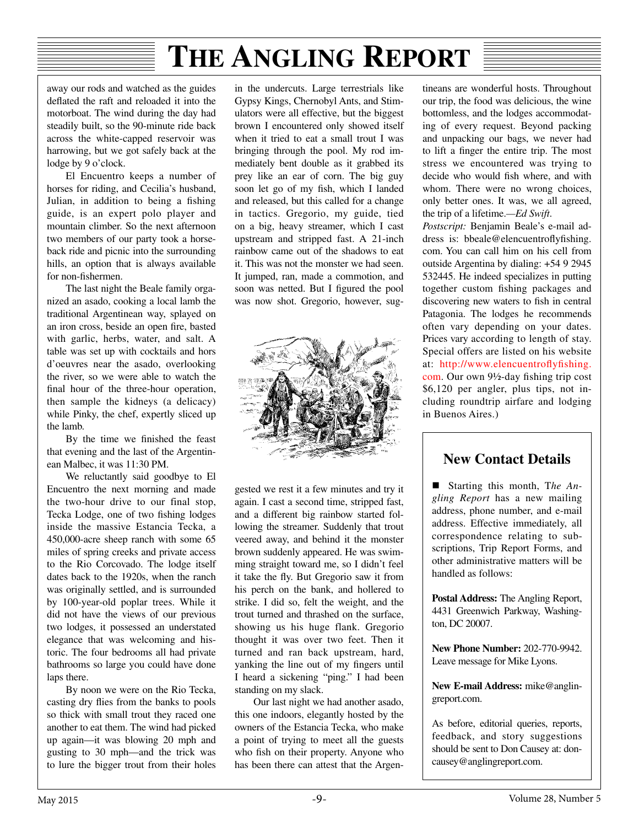away our rods and watched as the guides defated the raft and reloaded it into the motorboat. The wind during the day had steadily built, so the 90-minute ride back across the white-capped reservoir was harrowing, but we got safely back at the lodge by 9 o'clock.

El Encuentro keeps a number of horses for riding, and Cecilia's husband, Julian, in addition to being a fishing guide, is an expert polo player and mountain climber. So the next afternoon two members of our party took a horseback ride and picnic into the surrounding hills, an option that is always available for non-fshermen.

The last night the Beale family organized an asado, cooking a local lamb the traditional Argentinean way, splayed on an iron cross, beside an open fre, basted with garlic, herbs, water, and salt. A table was set up with cocktails and hors d'oeuvres near the asado, overlooking the river, so we were able to watch the fnal hour of the three-hour operation, then sample the kidneys (a delicacy) while Pinky, the chef, expertly sliced up the lamb.

By the time we fnished the feast that evening and the last of the Argentinean Malbec, it was 11:30 PM.

We reluctantly said goodbye to El Encuentro the next morning and made the two-hour drive to our final stop, Tecka Lodge, one of two fshing lodges inside the massive Estancia Tecka, a 450,000-acre sheep ranch with some 65 miles of spring creeks and private access to the Rio Corcovado. The lodge itself dates back to the 1920s, when the ranch was originally settled, and is surrounded by 100-year-old poplar trees. While it did not have the views of our previous two lodges, it possessed an understated elegance that was welcoming and historic. The four bedrooms all had private bathrooms so large you could have done laps there.

By noon we were on the Rio Tecka, casting dry fies from the banks to pools so thick with small trout they raced one another to eat them. The wind had picked up again—it was blowing 20 mph and gusting to 30 mph—and the trick was to lure the bigger trout from their holes in the undercuts. Large terrestrials like Gypsy Kings, Chernobyl Ants, and Stimulators were all effective, but the biggest brown I encountered only showed itself when it tried to eat a small trout I was bringing through the pool. My rod immediately bent double as it grabbed its prey like an ear of corn. The big guy soon let go of my fsh, which I landed and released, but this called for a change in tactics. Gregorio, my guide, tied on a big, heavy streamer, which I cast upstream and stripped fast. A 21-inch rainbow came out of the shadows to eat it. This was not the monster we had seen. It jumped, ran, made a commotion, and soon was netted. But I fgured the pool was now shot. Gregorio, however, sug-



gested we rest it a few minutes and try it again. I cast a second time, stripped fast, and a different big rainbow started following the streamer. Suddenly that trout veered away, and behind it the monster brown suddenly appeared. He was swimming straight toward me, so I didn't feel it take the fy. But Gregorio saw it from his perch on the bank, and hollered to strike. I did so, felt the weight, and the trout turned and thrashed on the surface, showing us his huge flank. Gregorio thought it was over two feet. Then it turned and ran back upstream, hard, yanking the line out of my fngers until I heard a sickening "ping." I had been standing on my slack.

Our last night we had another asado, this one indoors, elegantly hosted by the owners of the Estancia Tecka, who make a point of trying to meet all the guests who fish on their property. Anyone who has been there can attest that the Argen-

tineans are wonderful hosts. Throughout our trip, the food was delicious, the wine bottomless, and the lodges accommodating of every request. Beyond packing and unpacking our bags, we never had to lift a fnger the entire trip. The most stress we encountered was trying to decide who would fsh where, and with whom. There were no wrong choices, only better ones. It was, we all agreed, the trip of a lifetime.*—Ed Swift*.

*Postscript:* Benjamin Beale's e-mail address is: bbeale@elencuentrofyfshing. com. You can call him on his cell from outside Argentina by dialing: +54 9 2945 532445. He indeed specializes in putting together custom fshing packages and discovering new waters to fish in central Patagonia. The lodges he recommends often vary depending on your dates. Prices vary according to length of stay. Special offers are listed on his website at: [http://www.elencuentro](http://www.elencuentroflyfishing.com)fyfshing. [com.](http://www.elencuentroflyfishing.com) Our own 9½-day fshing trip cost \$6,120 per angler, plus tips, not including roundtrip airfare and lodging in Buenos Aires.)

### **New Contact Details**

 Starting this month, T*he Angling Report* has a new mailing address, phone number, and e-mail address. Effective immediately, all correspondence relating to subscriptions, Trip Report Forms, and other administrative matters will be handled as follows:

**Postal Address:** The Angling Report, 4431 Greenwich Parkway, Washington, DC 20007.

**New Phone Number:** 202-770-9942. Leave message for Mike Lyons.

**New E-mail Address:** mike@anglingreport.com.

As before, editorial queries, reports, feedback, and story suggestions should be sent to Don Causey at: doncausey@anglingreport.com.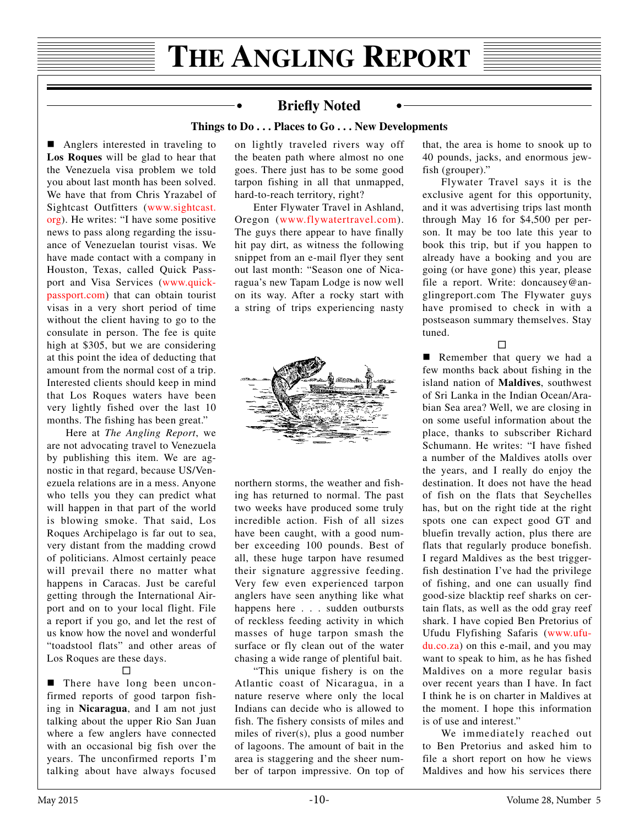#### **Briefy Noted**

÷

#### **Things to Do . . . Places to Go . . . New Developments**

■ Anglers interested in traveling to **Los Roques** will be glad to hear that the Venezuela visa problem we told you about last month has been solved. We have that from Chris Yrazabel of Sightcast Outfitters ([www.sightcast.](http://www.sightcast.org) [org\)](http://www.sightcast.org). He writes: "I have some positive news to pass along regarding the issuance of Venezuelan tourist visas. We have made contact with a company in Houston, Texas, called Quick Passport and Visa Services ([www.quick](http://www.quick-passport.com)[passport.com\)](http://www.quick-passport.com) that can obtain tourist visas in a very short period of time without the client having to go to the consulate in person. The fee is quite high at \$305, but we are considering at this point the idea of deducting that amount from the normal cost of a trip. Interested clients should keep in mind that Los Roques waters have been very lightly fished over the last 10 months. The fishing has been great."

Here at *The Angling Report*, we are not advocating travel to Venezuela by publishing this item. We are agnostic in that regard, because US/Venezuela relations are in a mess. Anyone who tells you they can predict what will happen in that part of the world is blowing smoke. That said, Los Roques Archipelago is far out to sea, very distant from the madding crowd of politicians. Almost certainly peace will prevail there no matter what happens in Caracas. Just be careful getting through the International Airport and on to your local flight. File a report if you go, and let the rest of us know how the novel and wonderful "toadstool flats" and other areas of Los Roques are these days.

#### $\Box$

**There have long been uncon**firmed reports of good tarpon fishing in **Nicaragua**, and I am not just talking about the upper Rio San Juan where a few anglers have connected with an occasional big fish over the years. The unconfirmed reports I'm talking about have always focused on lightly traveled rivers way off the beaten path where almost no one goes. There just has to be some good tarpon fishing in all that unmapped, hard-to-reach territory, right?

Enter Flywater Travel in Ashland, Oregon ([www.flywatertravel.com\)](http://www.flywatertravel.com). The guys there appear to have finally hit pay dirt, as witness the following snippet from an e-mail flyer they sent out last month: "Season one of Nicaragua's new Tapam Lodge is now well on its way. After a rocky start with a string of trips experiencing nasty



northern storms, the weather and fishing has returned to normal. The past two weeks have produced some truly incredible action. Fish of all sizes have been caught, with a good number exceeding 100 pounds. Best of all, these huge tarpon have resumed their signature aggressive feeding. Very few even experienced tarpon anglers have seen anything like what happens here . . . sudden outbursts of reckless feeding activity in which masses of huge tarpon smash the surface or fly clean out of the water chasing a wide range of plentiful bait.

"This unique fishery is on the Atlantic coast of Nicaragua, in a nature reserve where only the local Indians can decide who is allowed to fish. The fishery consists of miles and miles of river(s), plus a good number of lagoons. The amount of bait in the area is staggering and the sheer number of tarpon impressive. On top of that, the area is home to snook up to 40 pounds, jacks, and enormous jewfish (grouper)."

Flywater Travel says it is the exclusive agent for this opportunity, and it was advertising trips last month through May 16 for \$4,500 per person. It may be too late this year to book this trip, but if you happen to already have a booking and you are going (or have gone) this year, please file a report. Write: doncausey@anglingreport.com The Flywater guys have promised to check in with a postseason summary themselves. Stay tuned.

 $\Box$ 

Remember that query we had a few months back about fishing in the island nation of **Maldives**, southwest of Sri Lanka in the Indian Ocean/Arabian Sea area? Well, we are closing in on some useful information about the place, thanks to subscriber Richard Schumann. He writes: "I have fished a number of the Maldives atolls over the years, and I really do enjoy the destination. It does not have the head of fish on the flats that Seychelles has, but on the right tide at the right spots one can expect good GT and bluefin trevally action, plus there are flats that regularly produce bonefish. I regard Maldives as the best triggerfish destination I've had the privilege of fishing, and one can usually find good-size blacktip reef sharks on certain flats, as well as the odd gray reef shark. I have copied Ben Pretorius of Ufudu Flyfishing Safaris ([www.ufu](http://www.ufudu.co.za)[du.co.za](http://www.ufudu.co.za)) on this e-mail, and you may want to speak to him, as he has fished Maldives on a more regular basis over recent years than I have. In fact I think he is on charter in Maldives at the moment. I hope this information is of use and interest."

We immediately reached out to Ben Pretorius and asked him to file a short report on how he views Maldives and how his services there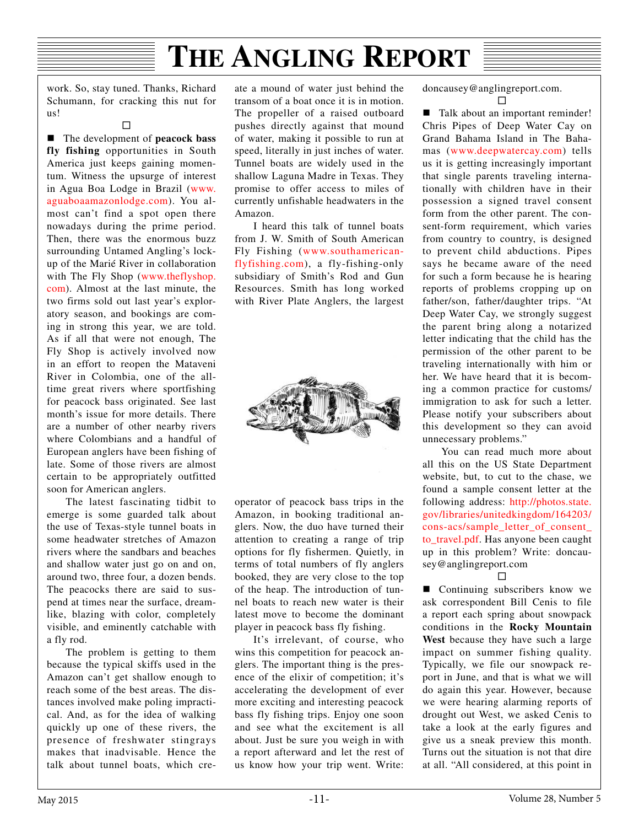work. So, stay tuned. Thanks, Richard Schumann, for cracking this nut for us!

 $\Box$ 

■ The development of **peacock** bass **fly fishing** opportunities in South America just keeps gaining momentum. Witness the upsurge of interest in Agua Boa Lodge in Brazil ([www.](http://www.aguaboaamazonlodge.com) [aguaboaamazonlodge.com](http://www.aguaboaamazonlodge.com)). You almost can't find a spot open there nowadays during the prime period. Then, there was the enormous buzz surrounding Untamed Angling's lockup of the Marié River in collaboration with The Fly Shop [\(www.theflyshop.](http://www.theflyshop.com) [com\)](http://www.theflyshop.com). Almost at the last minute, the two firms sold out last year's exploratory season, and bookings are coming in strong this year, we are told. As if all that were not enough, The Fly Shop is actively involved now in an effort to reopen the Mataveni River in Colombia, one of the alltime great rivers where sportfishing for peacock bass originated. See last month's issue for more details. There are a number of other nearby rivers where Colombians and a handful of European anglers have been fishing of late. Some of those rivers are almost certain to be appropriately outfitted soon for American anglers.

The latest fascinating tidbit to emerge is some guarded talk about the use of Texas-style tunnel boats in some headwater stretches of Amazon rivers where the sandbars and beaches and shallow water just go on and on, around two, three four, a dozen bends. The peacocks there are said to suspend at times near the surface, dreamlike, blazing with color, completely visible, and eminently catchable with a fly rod.

The problem is getting to them because the typical skiffs used in the Amazon can't get shallow enough to reach some of the best areas. The distances involved make poling impractical. And, as for the idea of walking quickly up one of these rivers, the presence of freshwater stingrays makes that inadvisable. Hence the talk about tunnel boats, which create a mound of water just behind the transom of a boat once it is in motion. The propeller of a raised outboard pushes directly against that mound of water, making it possible to run at speed, literally in just inches of water. Tunnel boats are widely used in the shallow Laguna Madre in Texas. They promise to offer access to miles of currently unfishable headwaters in the Amazon.

I heard this talk of tunnel boats from J. W. Smith of South American Fly Fishing ([www.southamerican](http://www.southamerican-flyfishing.com)[flyfishing.com\)](http://www.southamerican-flyfishing.com), a fly-fishing-only subsidiary of Smith's Rod and Gun Resources. Smith has long worked with River Plate Anglers, the largest



operator of peacock bass trips in the Amazon, in booking traditional anglers. Now, the duo have turned their attention to creating a range of trip options for fly fishermen. Quietly, in terms of total numbers of fly anglers booked, they are very close to the top of the heap. The introduction of tunnel boats to reach new water is their latest move to become the dominant player in peacock bass fly fishing.

It's irrelevant, of course, who wins this competition for peacock anglers. The important thing is the presence of the elixir of competition; it's accelerating the development of ever more exciting and interesting peacock bass fly fishing trips. Enjoy one soon and see what the excitement is all about. Just be sure you weigh in with a report afterward and let the rest of us know how your trip went. Write:

doncausey@anglingreport.com.  $\Box$ 

■ Talk about an important reminder! Chris Pipes of Deep Water Cay on Grand Bahama Island in The Bahamas ([www.deepwatercay.com](http://www.deepwatercay.com)) tells us it is getting increasingly important that single parents traveling internationally with children have in their possession a signed travel consent form from the other parent. The consent-form requirement, which varies from country to country, is designed to prevent child abductions. Pipes says he became aware of the need for such a form because he is hearing reports of problems cropping up on father/son, father/daughter trips. "At Deep Water Cay, we strongly suggest the parent bring along a notarized letter indicating that the child has the permission of the other parent to be traveling internationally with him or her. We have heard that it is becoming a common practice for customs/ immigration to ask for such a letter. Please notify your subscribers about this development so they can avoid unnecessary problems."

You can read much more about all this on the US State Department website, but, to cut to the chase, we found a sample consent letter at the following address: [http://photos.state.](http://photos.state.gov/libraries/unitedkingdom/164203/cons-acs/sample_letter_of_consent_to_travel.pdf) [gov/libraries/unitedkingdom/164203/](http://photos.state.gov/libraries/unitedkingdom/164203/cons-acs/sample_letter_of_consent_to_travel.pdf) [cons-acs/sample\\_letter\\_of\\_consent\\_](http://photos.state.gov/libraries/unitedkingdom/164203/cons-acs/sample_letter_of_consent_to_travel.pdf) [to\\_travel.pdf](http://photos.state.gov/libraries/unitedkingdom/164203/cons-acs/sample_letter_of_consent_to_travel.pdf). Has anyone been caught up in this problem? Write: doncausey@anglingreport.com

 $\Box$ 

■ Continuing subscribers know we ask correspondent Bill Cenis to file a report each spring about snowpack conditions in the **Rocky Mountain West** because they have such a large impact on summer fishing quality. Typically, we file our snowpack report in June, and that is what we will do again this year. However, because we were hearing alarming reports of drought out West, we asked Cenis to take a look at the early figures and give us a sneak preview this month. Turns out the situation is not that dire at all. "All considered, at this point in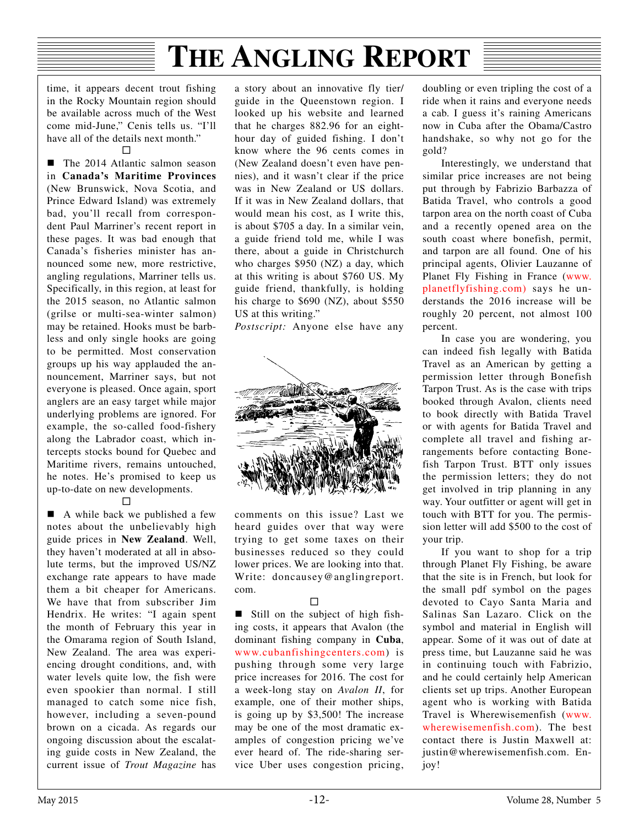time, it appears decent trout fishing in the Rocky Mountain region should be available across much of the West come mid-June," Cenis tells us. "I'll have all of the details next month."

#### П

 The 2014 Atlantic salmon season in **Canada's Maritime Provinces** (New Brunswick, Nova Scotia, and Prince Edward Island) was extremely bad, you'll recall from correspondent Paul Marriner's recent report in these pages. It was bad enough that Canada's fisheries minister has announced some new, more restrictive, angling regulations, Marriner tells us. Specifically, in this region, at least for the 2015 season, no Atlantic salmon (grilse or multi-sea-winter salmon) may be retained. Hooks must be barbless and only single hooks are going to be permitted. Most conservation groups up his way applauded the announcement, Marriner says, but not everyone is pleased. Once again, sport anglers are an easy target while major underlying problems are ignored. For example, the so-called food-fishery along the Labrador coast, which intercepts stocks bound for Quebec and Maritime rivers, remains untouched, he notes. He's promised to keep us up-to-date on new developments.

 $\Box$ 

■ A while back we published a few notes about the unbelievably high guide prices in **New Zealand**. Well, they haven't moderated at all in absolute terms, but the improved US/NZ exchange rate appears to have made them a bit cheaper for Americans. We have that from subscriber Jim Hendrix. He writes: "I again spent the month of February this year in the Omarama region of South Island, New Zealand. The area was experiencing drought conditions, and, with water levels quite low, the fish were even spookier than normal. I still managed to catch some nice fish, however, including a seven-pound brown on a cicada. As regards our ongoing discussion about the escalating guide costs in New Zealand, the current issue of *Trout Magazine* has a story about an innovative fly tier/ guide in the Queenstown region. I looked up his website and learned that he charges 882.96 for an eighthour day of guided fishing. I don't know where the 96 cents comes in (New Zealand doesn't even have pennies), and it wasn't clear if the price was in New Zealand or US dollars. If it was in New Zealand dollars, that would mean his cost, as I write this, is about \$705 a day. In a similar vein, a guide friend told me, while I was there, about a guide in Christchurch who charges \$950 (NZ) a day, which at this writing is about \$760 US. My guide friend, thankfully, is holding his charge to \$690 (NZ), about \$550 US at this writing."

*Postscript:* Anyone else have any



comments on this issue? Last we heard guides over that way were trying to get some taxes on their businesses reduced so they could lower prices. We are looking into that. Write: doncausey@anglingreport. com.

#### $\Box$

Still on the subject of high fishing costs, it appears that Avalon (the dominant fishing company in **Cuba**, [www.cubanfishingcenters.com\)](http://www.cubanfishingcenters.com) is pushing through some very large price increases for 2016. The cost for a week-long stay on *Avalon II*, for example, one of their mother ships, is going up by \$3,500! The increase may be one of the most dramatic examples of congestion pricing we've ever heard of. The ride-sharing service Uber uses congestion pricing,

doubling or even tripling the cost of a ride when it rains and everyone needs a cab. I guess it's raining Americans now in Cuba after the Obama/Castro handshake, so why not go for the gold?

Interestingly, we understand that similar price increases are not being put through by Fabrizio Barbazza of Batida Travel, who controls a good tarpon area on the north coast of Cuba and a recently opened area on the south coast where bonefish, permit, and tarpon are all found. One of his principal agents, Olivier Lauzanne of Planet Fly Fishing in France ([www.](http://www.planetflyfishing.com%29%20) [planetflyfishing.com\) s](http://www.planetflyfishing.com%29%20)ays he understands the 2016 increase will be roughly 20 percent, not almost 100 percent.

In case you are wondering, you can indeed fish legally with Batida Travel as an American by getting a permission letter through Bonefish Tarpon Trust. As is the case with trips booked through Avalon, clients need to book directly with Batida Travel or with agents for Batida Travel and complete all travel and fishing arrangements before contacting Bonefish Tarpon Trust. BTT only issues the permission letters; they do not get involved in trip planning in any way. Your outfitter or agent will get in touch with BTT for you. The permission letter will add \$500 to the cost of your trip.

If you want to shop for a trip through Planet Fly Fishing, be aware that the site is in French, but look for the small pdf symbol on the pages devoted to Cayo Santa Maria and Salinas San Lazaro. Click on the symbol and material in English will appear. Some of it was out of date at press time, but Lauzanne said he was in continuing touch with Fabrizio, and he could certainly help American clients set up trips. Another European agent who is working with Batida Travel is Wherewisemenfish [\(www.](http://www.wherewisemenfish.com) [wherewisemenfish.com\)](http://www.wherewisemenfish.com). The best contact there is Justin Maxwell at: justin@wherewisemenfish.com. Enjoy!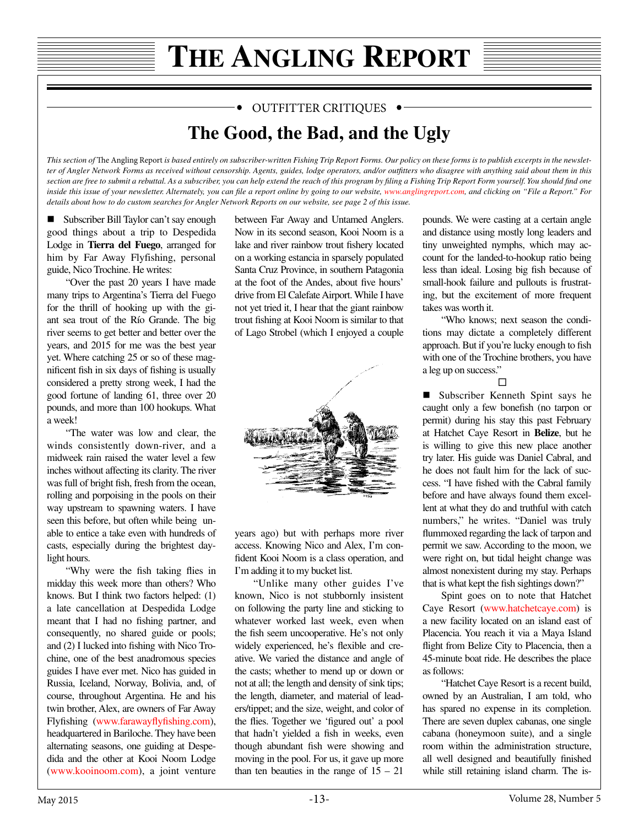#### OUTFITTER CRITIQUES .

### **The Good, the Bad, and the Ugly**

This section of The Angling Report is based entirely on subscriber-written Fishing Trip Report Forms. Our policy on these forms is to publish excerpts in the newslet*ter of Angler Network Forms as received without censorship. Agents, guides, lodge operators, and/or outftters who disagree with anything said about them in this section are free to submit a rebuttal. As a subscriber, you can help extend the reach of this program by fling a Fishing Trip Report Form yourself. You should fnd one inside this issue of your newsletter. Alternately, you can file a report online by going to our website,<www.anglingreport.com>, and clicking on "File a Report." For details about how to do custom searches for Angler Network Reports on our website, see page 2 of this issue.*

■ Subscriber Bill Taylor can't say enough good things about a trip to Despedida Lodge in **Tierra del Fuego**, arranged for him by Far Away Flyfishing, personal guide, Nico Trochine. He writes:

"Over the past 20 years I have made many trips to Argentina's Tierra del Fuego for the thrill of hooking up with the giant sea trout of the Río Grande. The big river seems to get better and better over the years, and 2015 for me was the best year yet. Where catching 25 or so of these magnifcent fsh in six days of fshing is usually considered a pretty strong week, I had the good fortune of landing 61, three over 20 pounds, and more than 100 hookups. What a week!

"The water was low and clear, the winds consistently down-river, and a midweek rain raised the water level a few inches without affecting its clarity. The river was full of bright fsh, fresh from the ocean, rolling and porpoising in the pools on their way upstream to spawning waters. I have seen this before, but often while being unable to entice a take even with hundreds of casts, especially during the brightest daylight hours.

"Why were the fsh taking fies in midday this week more than others? Who knows. But I think two factors helped: (1) a late cancellation at Despedida Lodge meant that I had no fshing partner, and consequently, no shared guide or pools; and (2) I lucked into fshing with Nico Trochine, one of the best anadromous species guides I have ever met. Nico has guided in Russia, Iceland, Norway, Bolivia, and, of course, throughout Argentina. He and his twin brother, Alex, are owners of Far Away Flyfishing [\(www.faraway](http://www.farawayflyfishing.com)flyfishing.com), headquartered in Bariloche. They have been alternating seasons, one guiding at Despedida and the other at Kooi Noom Lodge [\(www.kooinoom.com\)](http://www.kooinoom.com), a joint venture between Far Away and Untamed Anglers. Now in its second season, Kooi Noom is a lake and river rainbow trout fshery located on a working estancia in sparsely populated Santa Cruz Province, in southern Patagonia at the foot of the Andes, about fve hours' drive from El Calefate Airport. While I have not yet tried it, I hear that the giant rainbow trout fshing at Kooi Noom is similar to that of Lago Strobel (which I enjoyed a couple



years ago) but with perhaps more river access. Knowing Nico and Alex, I'm confdent Kooi Noom is a class operation, and I'm adding it to my bucket list.

"Unlike many other guides I've known, Nico is not stubbornly insistent on following the party line and sticking to whatever worked last week, even when the fsh seem uncooperative. He's not only widely experienced, he's fexible and creative. We varied the distance and angle of the casts; whether to mend up or down or not at all; the length and density of sink tips; the length, diameter, and material of leaders/tippet; and the size, weight, and color of the fies. Together we 'fgured out' a pool that hadn't yielded a fish in weeks, even though abundant fish were showing and moving in the pool. For us, it gave up more than ten beauties in the range of  $15 - 21$  pounds. We were casting at a certain angle and distance using mostly long leaders and tiny unweighted nymphs, which may account for the landed-to-hookup ratio being less than ideal. Losing big fsh because of small-hook failure and pullouts is frustrating, but the excitement of more frequent takes was worth it.

"Who knows; next season the conditions may dictate a completely different approach. But if you're lucky enough to fsh with one of the Trochine brothers, you have a leg up on success."

#### □

■ Subscriber Kenneth Spint says he caught only a few bonefsh (no tarpon or permit) during his stay this past February at Hatchet Caye Resort in **Belize**, but he is willing to give this new place another try later. His guide was Daniel Cabral, and he does not fault him for the lack of success. "I have fshed with the Cabral family before and have always found them excellent at what they do and truthful with catch numbers," he writes. "Daniel was truly fummoxed regarding the lack of tarpon and permit we saw. According to the moon, we were right on, but tidal height change was almost nonexistent during my stay. Perhaps that is what kept the fsh sightings down?"

Spint goes on to note that Hatchet Caye Resort ([www.hatchetcaye.com](http://www.hatchetcaye.com)) is a new facility located on an island east of Placencia. You reach it via a Maya Island fight from Belize City to Placencia, then a 45-minute boat ride. He describes the place as follows:

"Hatchet Caye Resort is a recent build, owned by an Australian, I am told, who has spared no expense in its completion. There are seven duplex cabanas, one single cabana (honeymoon suite), and a single room within the administration structure, all well designed and beautifully fnished while still retaining island charm. The is-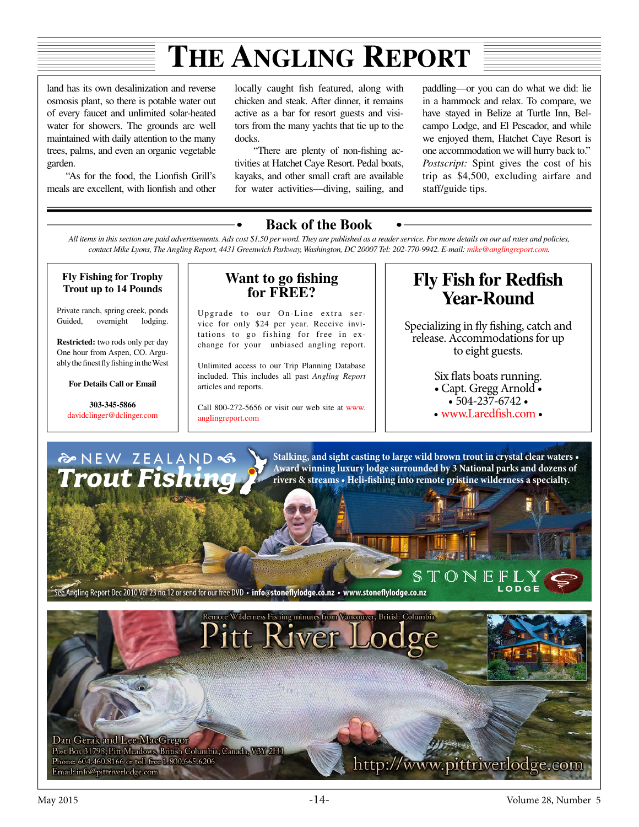land has its own desalinization and reverse osmosis plant, so there is potable water out of every faucet and unlimited solar-heated water for showers. The grounds are well maintained with daily attention to the many trees, palms, and even an organic vegetable garden.

"As for the food, the Lionfsh Grill's meals are excellent, with lionfsh and other

locally caught fsh featured, along with chicken and steak. After dinner, it remains active as a bar for resort guests and visitors from the many yachts that tie up to the docks.

"There are plenty of non-fshing activities at Hatchet Caye Resort. Pedal boats, kayaks, and other small craft are available for water activities—diving, sailing, and

paddling—or you can do what we did: lie in a hammock and relax. To compare, we have stayed in Belize at Turtle Inn, Belcampo Lodge, and El Pescador, and while we enjoyed them, Hatchet Caye Resort is one accommodation we will hurry back to." *Postscript:* Spint gives the cost of his trip as \$4,500, excluding airfare and staff/guide tips.

#### **Back of the Book**

*All items in this section are paid advertisements. Ads cost \$1.50 per word. They are published as a reader service. For more details on our ad rates and policies, contact Mike Lyons, The Angling Report, 4431 Greenwich Parkway, Washington, DC 20007 Tel: 202-770-9942. E-mail: mik[e@anglingreport.](mailto:rachel%40anglingreport.com?subject=)com.*

**Fly Fishing for Trophy Trout up to 14 Pounds**

Private ranch, spring creek, ponds Guided, overnight lodging.

**Restricted:** two rods only per day One hour from Aspen, CO. Arguably the fnest fy fshing in the West

**For Details Call or Email**

**303-345-5866** davidclinger@dclinger.com

#### **Want to go fshing for FREE?**

Upgrade to our On-Line extra service for only \$24 per year. Receive invitations to go fishing for free in exchange for your unbiased angling report.

Unlimited access to our Trip Planning Database included. This includes all past *Angling Report*  articles and reports.

Call 800-272-5656 or visit our web site at [www.](www.anglingreport.com) [anglingreport.com](www.anglingreport.com)

### **Fly Fish for Redfsh Year-Round**

Specializing in fy fshing, catch and release. Accommodations for up to eight guests.

> Six fats boats running.  $\cdot$  Capt. Gregg Arnold  $\cdot$ <br> $\cdot$  504-237-6742  $\cdot$

- 
- $\bullet$  [www.Lared](http://www.Laredfish.com)fish.com  $\bullet$

ODGE



Stalking, and sight casting to large wild brown trout in crystal clear waters  $\boldsymbol{\cdot}$ **Award winning luxury lodge surrounded by 3 National parks and dozens of**  rivers & streams • Heli-fishing into remote pristine wilderness a specialty.

S ee Angling Report Dec 2010 Vol 23 no.12 or send for our free DVD • info@stoneflylodge.co.nz • www.stoneflylodge.co.nz

Pitt River I Dan Gerak and Lee MacGregor Post Box 31798, Pitt Meadows, British Columbia, Canada, V3Y 2H1 Phone: 604.460.8166 or toll free 1.800.665.6206 http://www.pittriverlodge.com Email: info@pittriverlodge.com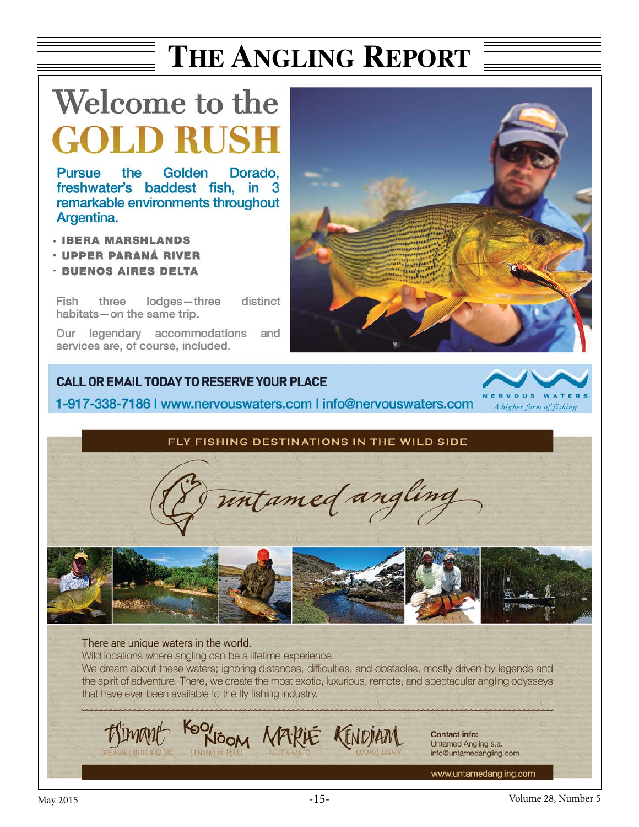# Welcome to the LD RUS

**Pursue** the Golden Dorado. freshwater's baddest fish, in 3 remarkable environments throughout Argentina.

- **· IBERA MARSHLANDS**
- · UPPER PARANÁ RIVER
- · BUENOS AIRES DELTA

Fish three lodges-three distinct habitats-on the same trip.

Our legendary accommodations and services are, of course, included.



#### **CALL OR EMAIL TODAY TO RESERVE YOUR PLACE**

1-917-338-7186 | www.nervouswaters.com | info@nervouswaters.com